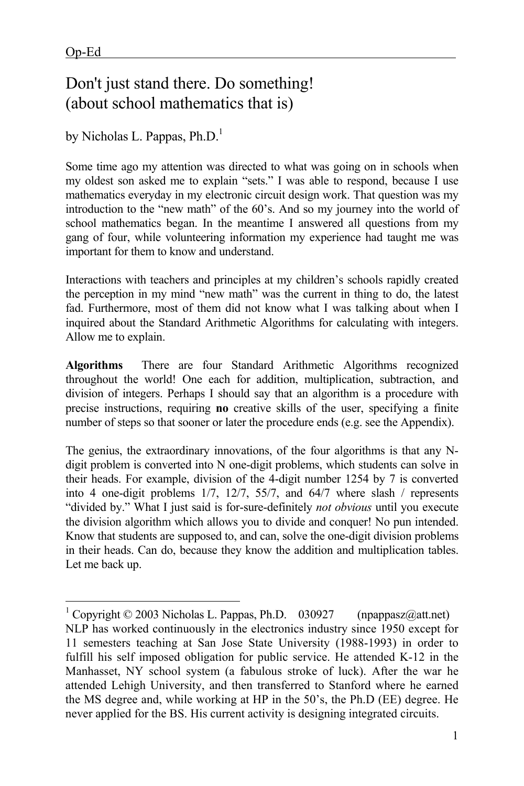$\overline{a}$ 

## Don't just stand there. Do something! (about school mathematics that is)

by Nicholas L. Pappas,  $Ph.D.<sup>1</sup>$ 

Some time ago my attention was directed to what was going on in schools when my oldest son asked me to explain "sets." I was able to respond, because I use mathematics everyday in my electronic circuit design work. That question was my introduction to the "new math" of the 60's. And so my journey into the world of school mathematics began. In the meantime I answered all questions from my gang of four, while volunteering information my experience had taught me was important for them to know and understand.

Interactions with teachers and principles at my children's schools rapidly created the perception in my mind "new math" was the current in thing to do, the latest fad. Furthermore, most of them did not know what I was talking about when I inquired about the Standard Arithmetic Algorithms for calculating with integers. Allow me to explain.

**Algorithms** There are four Standard Arithmetic Algorithms recognized throughout the world! One each for addition, multiplication, subtraction, and division of integers. Perhaps I should say that an algorithm is a procedure with precise instructions, requiring **no** creative skills of the user, specifying a finite number of steps so that sooner or later the procedure ends (e.g. see the Appendix).

The genius, the extraordinary innovations, of the four algorithms is that any Ndigit problem is converted into N one-digit problems, which students can solve in their heads. For example, division of the 4-digit number 1254 by 7 is converted into 4 one-digit problems 1/7, 12/7, 55/7, and 64/7 where slash / represents "divided by." What I just said is for-sure-definitely *not obvious* until you execute the division algorithm which allows you to divide and conquer! No pun intended. Know that students are supposed to, and can, solve the one-digit division problems in their heads. Can do, because they know the addition and multiplication tables. Let me back up.

<sup>&</sup>lt;sup>1</sup> Copyright © 2003 Nicholas L. Pappas, Ph.D. 030927 (npappasz@att.net) NLP has worked continuously in the electronics industry since 1950 except for 11 semesters teaching at San Jose State University (1988-1993) in order to fulfill his self imposed obligation for public service. He attended K-12 in the Manhasset, NY school system (a fabulous stroke of luck). After the war he attended Lehigh University, and then transferred to Stanford where he earned the MS degree and, while working at HP in the 50's, the Ph.D (EE) degree. He never applied for the BS. His current activity is designing integrated circuits.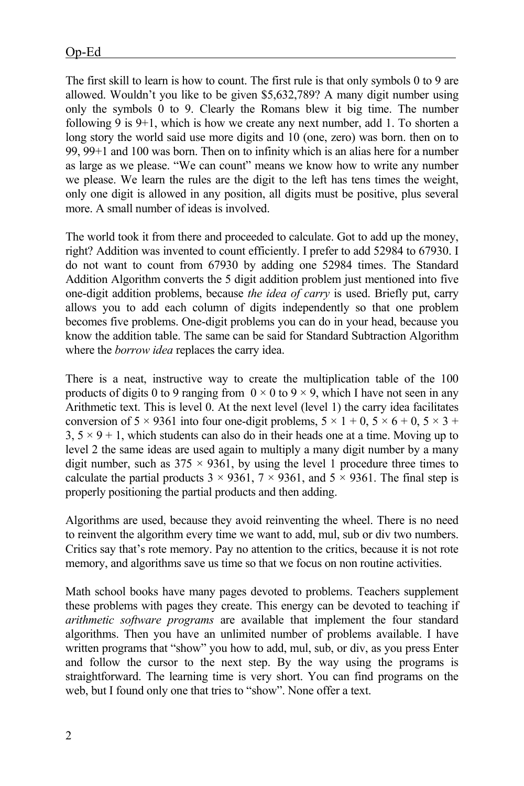The first skill to learn is how to count. The first rule is that only symbols 0 to 9 are allowed. Wouldn't you like to be given \$5,632,789? A many digit number using only the symbols 0 to 9. Clearly the Romans blew it big time. The number following 9 is 9+1, which is how we create any next number, add 1. To shorten a long story the world said use more digits and 10 (one, zero) was born. then on to 99, 99+1 and 100 was born. Then on to infinity which is an alias here for a number as large as we please. "We can count" means we know how to write any number we please. We learn the rules are the digit to the left has tens times the weight, only one digit is allowed in any position, all digits must be positive, plus several more. A small number of ideas is involved.

The world took it from there and proceeded to calculate. Got to add up the money, right? Addition was invented to count efficiently. I prefer to add 52984 to 67930. I do not want to count from 67930 by adding one 52984 times. The Standard Addition Algorithm converts the 5 digit addition problem just mentioned into five one-digit addition problems, because *the idea of carry* is used. Briefly put, carry allows you to add each column of digits independently so that one problem becomes five problems. One-digit problems you can do in your head, because you know the addition table. The same can be said for Standard Subtraction Algorithm where the *borrow idea* replaces the carry idea.

There is a neat, instructive way to create the multiplication table of the 100 products of digits 0 to 9 ranging from  $0 \times 0$  to 9  $\times$  9, which I have not seen in any Arithmetic text. This is level 0. At the next level (level 1) the carry idea facilitates conversion of  $5 \times 9361$  into four one-digit problems,  $5 \times 1 + 0$ ,  $5 \times 6 + 0$ ,  $5 \times 3 +$  $3, 5 \times 9 + 1$ , which students can also do in their heads one at a time. Moving up to level 2 the same ideas are used again to multiply a many digit number by a many digit number, such as  $375 \times 9361$ , by using the level 1 procedure three times to calculate the partial products  $3 \times 9361$ ,  $7 \times 9361$ , and  $5 \times 9361$ . The final step is properly positioning the partial products and then adding.

Algorithms are used, because they avoid reinventing the wheel. There is no need to reinvent the algorithm every time we want to add, mul, sub or div two numbers. Critics say that's rote memory. Pay no attention to the critics, because it is not rote memory, and algorithms save us time so that we focus on non routine activities.

Math school books have many pages devoted to problems. Teachers supplement these problems with pages they create. This energy can be devoted to teaching if *arithmetic software programs* are available that implement the four standard algorithms. Then you have an unlimited number of problems available. I have written programs that "show" you how to add, mul, sub, or div, as you press Enter and follow the cursor to the next step. By the way using the programs is straightforward. The learning time is very short. You can find programs on the web, but I found only one that tries to "show". None offer a text.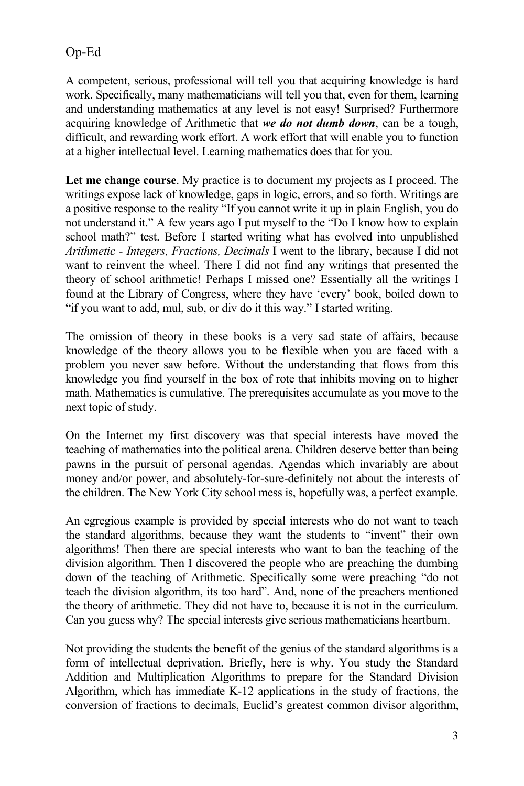A competent, serious, professional will tell you that acquiring knowledge is hard work. Specifically, many mathematicians will tell you that, even for them, learning and understanding mathematics at any level is not easy! Surprised? Furthermore acquiring knowledge of Arithmetic that *we do not dumb down*, can be a tough, difficult, and rewarding work effort. A work effort that will enable you to function at a higher intellectual level. Learning mathematics does that for you.

**Let me change course**. My practice is to document my projects as I proceed. The writings expose lack of knowledge, gaps in logic, errors, and so forth. Writings are a positive response to the reality "If you cannot write it up in plain English, you do not understand it." A few years ago I put myself to the "Do I know how to explain school math?" test. Before I started writing what has evolved into unpublished *Arithmetic - Integers, Fractions, Decimals* I went to the library, because I did not want to reinvent the wheel. There I did not find any writings that presented the theory of school arithmetic! Perhaps I missed one? Essentially all the writings I found at the Library of Congress, where they have 'every' book, boiled down to "if you want to add, mul, sub, or div do it this way." I started writing.

The omission of theory in these books is a very sad state of affairs, because knowledge of the theory allows you to be flexible when you are faced with a problem you never saw before. Without the understanding that flows from this knowledge you find yourself in the box of rote that inhibits moving on to higher math. Mathematics is cumulative. The prerequisites accumulate as you move to the next topic of study.

On the Internet my first discovery was that special interests have moved the teaching of mathematics into the political arena. Children deserve better than being pawns in the pursuit of personal agendas. Agendas which invariably are about money and/or power, and absolutely-for-sure-definitely not about the interests of the children. The New York City school mess is, hopefully was, a perfect example.

An egregious example is provided by special interests who do not want to teach the standard algorithms, because they want the students to "invent" their own algorithms! Then there are special interests who want to ban the teaching of the division algorithm. Then I discovered the people who are preaching the dumbing down of the teaching of Arithmetic. Specifically some were preaching "do not teach the division algorithm, its too hard". And, none of the preachers mentioned the theory of arithmetic. They did not have to, because it is not in the curriculum. Can you guess why? The special interests give serious mathematicians heartburn.

Not providing the students the benefit of the genius of the standard algorithms is a form of intellectual deprivation. Briefly, here is why. You study the Standard Addition and Multiplication Algorithms to prepare for the Standard Division Algorithm, which has immediate K-12 applications in the study of fractions, the conversion of fractions to decimals, Euclid's greatest common divisor algorithm,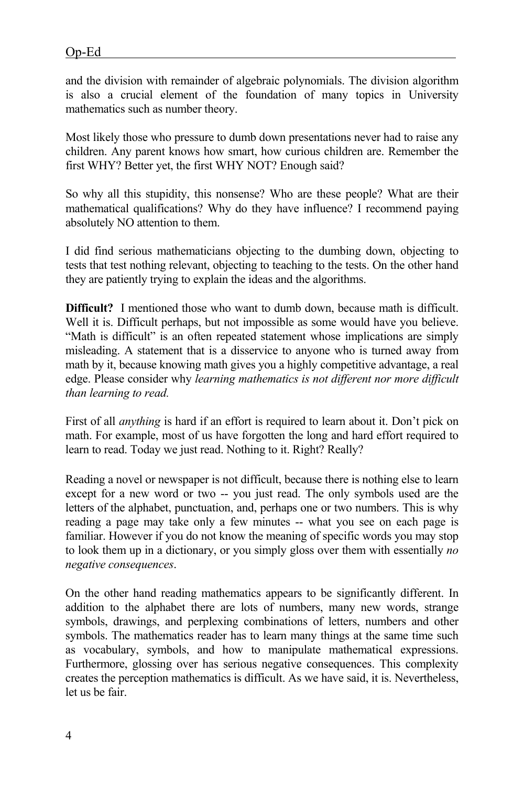and the division with remainder of algebraic polynomials. The division algorithm is also a crucial element of the foundation of many topics in University mathematics such as number theory.

Most likely those who pressure to dumb down presentations never had to raise any children. Any parent knows how smart, how curious children are. Remember the first WHY? Better yet, the first WHY NOT? Enough said?

So why all this stupidity, this nonsense? Who are these people? What are their mathematical qualifications? Why do they have influence? I recommend paying absolutely NO attention to them.

I did find serious mathematicians objecting to the dumbing down, objecting to tests that test nothing relevant, objecting to teaching to the tests. On the other hand they are patiently trying to explain the ideas and the algorithms.

**Difficult?** I mentioned those who want to dumb down, because math is difficult. Well it is. Difficult perhaps, but not impossible as some would have you believe. "Math is difficult" is an often repeated statement whose implications are simply misleading. A statement that is a disservice to anyone who is turned away from math by it, because knowing math gives you a highly competitive advantage, a real edge. Please consider why *learning mathematics is not different nor more difficult than learning to read.*

First of all *anything* is hard if an effort is required to learn about it. Don't pick on math. For example, most of us have forgotten the long and hard effort required to learn to read. Today we just read. Nothing to it. Right? Really?

Reading a novel or newspaper is not difficult, because there is nothing else to learn except for a new word or two -- you just read. The only symbols used are the letters of the alphabet, punctuation, and, perhaps one or two numbers. This is why reading a page may take only a few minutes -- what you see on each page is familiar. However if you do not know the meaning of specific words you may stop to look them up in a dictionary, or you simply gloss over them with essentially *no negative consequences*.

On the other hand reading mathematics appears to be significantly different. In addition to the alphabet there are lots of numbers, many new words, strange symbols, drawings, and perplexing combinations of letters, numbers and other symbols. The mathematics reader has to learn many things at the same time such as vocabulary, symbols, and how to manipulate mathematical expressions. Furthermore, glossing over has serious negative consequences. This complexity creates the perception mathematics is difficult. As we have said, it is. Nevertheless, let us be fair.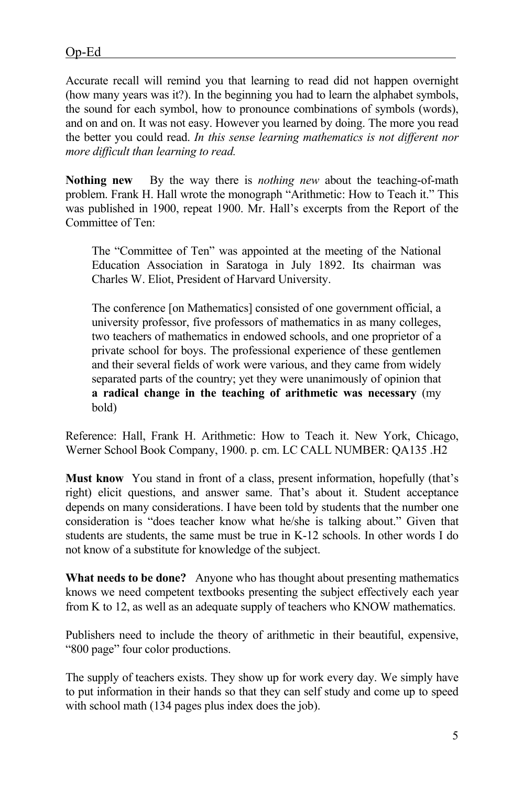Accurate recall will remind you that learning to read did not happen overnight (how many years was it?). In the beginning you had to learn the alphabet symbols, the sound for each symbol, how to pronounce combinations of symbols (words), and on and on. It was not easy. However you learned by doing. The more you read the better you could read. *In this sense learning mathematics is not different nor more difficult than learning to read.*

**Nothing new** By the way there is *nothing new* about the teaching-of-math problem. Frank H. Hall wrote the monograph "Arithmetic: How to Teach it." This was published in 1900, repeat 1900. Mr. Hall's excerpts from the Report of the Committee of Ten:

The "Committee of Ten" was appointed at the meeting of the National Education Association in Saratoga in July 1892. Its chairman was Charles W. Eliot, President of Harvard University.

The conference [on Mathematics] consisted of one government official, a university professor, five professors of mathematics in as many colleges, two teachers of mathematics in endowed schools, and one proprietor of a private school for boys. The professional experience of these gentlemen and their several fields of work were various, and they came from widely separated parts of the country; yet they were unanimously of opinion that **a radical change in the teaching of arithmetic was necessary** (my bold)

Reference: Hall, Frank H. Arithmetic: How to Teach it. New York, Chicago, Werner School Book Company, 1900. p. cm. LC CALL NUMBER: QA135 .H2

**Must know** You stand in front of a class, present information, hopefully (that's right) elicit questions, and answer same. That's about it. Student acceptance depends on many considerations. I have been told by students that the number one consideration is "does teacher know what he/she is talking about." Given that students are students, the same must be true in K-12 schools. In other words I do not know of a substitute for knowledge of the subject.

**What needs to be done?** Anyone who has thought about presenting mathematics knows we need competent textbooks presenting the subject effectively each year from K to 12, as well as an adequate supply of teachers who KNOW mathematics.

Publishers need to include the theory of arithmetic in their beautiful, expensive, "800 page" four color productions.

The supply of teachers exists. They show up for work every day. We simply have to put information in their hands so that they can self study and come up to speed with school math (134 pages plus index does the job).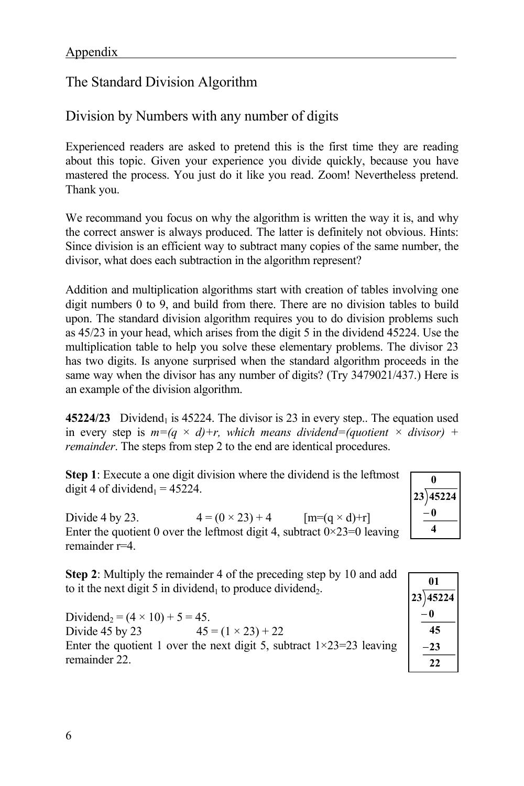## The Standard Division Algorithm

## Division by Numbers with any number of digits

Experienced readers are asked to pretend this is the first time they are reading about this topic. Given your experience you divide quickly, because you have mastered the process. You just do it like you read. Zoom! Nevertheless pretend. Thank you.

We recommand you focus on why the algorithm is written the way it is, and why the correct answer is always produced. The latter is definitely not obvious. Hints: Since division is an efficient way to subtract many copies of the same number, the divisor, what does each subtraction in the algorithm represent?

Addition and multiplication algorithms start with creation of tables involving one digit numbers 0 to 9, and build from there. There are no division tables to build upon. The standard division algorithm requires you to do division problems such as 45/23 in your head, which arises from the digit 5 in the dividend 45224. Use the multiplication table to help you solve these elementary problems. The divisor 23 has two digits. Is anyone surprised when the standard algorithm proceeds in the same way when the divisor has any number of digits? (Try 3479021/437.) Here is an example of the division algorithm.

**45224/23** Dividend<sub>1</sub> is 45224. The divisor is 23 in every step.. The equation used in every step is  $m=(q \times d)+r$ , which means dividend=(quotient  $\times$  divisor) + *remainder*. The steps from step 2 to the end are identical procedures.

**Step 1**: Execute a one digit division where the dividend is the leftmost digit 4 of dividend<sub>1</sub> =  $45224$ .

| 0           |
|-------------|
| 45224<br>23 |
| 0<br>÷,     |
|             |

Divide 4 by 23.  $4 = (0 \times 23) + 4$   $[m=(q \times d)+r]$ Enter the quotient 0 over the leftmost digit 4, subtract  $0 \times 23 = 0$  leaving remainder r=4.

**Step 2**: Multiply the remainder 4 of the preceding step by 10 and add to it the next digit 5 in dividend<sub>1</sub> to produce dividend<sub>2</sub>.

Dividend<sub>2</sub> =  $(4 \times 10) + 5 = 45$ . Divide 45 by 23  $45 = (1 \times 23) + 22$ Enter the quotient 1 over the next digit 5, subtract  $1 \times 23 = 23$  leaving remainder 22.

| 01       |  |
|----------|--|
| 23)45224 |  |
| -0       |  |
| 45       |  |
| 23       |  |
| 22       |  |